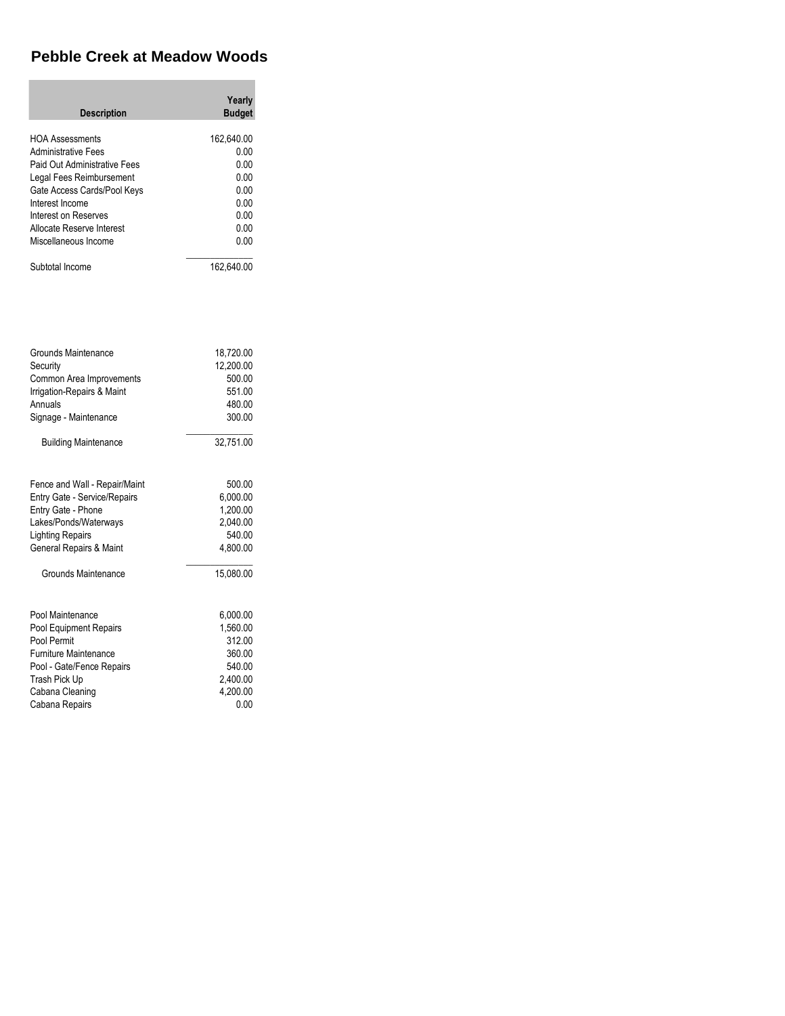## **Pebble Creek at Meadow Woods**

| <b>Description</b>           | Yearly<br><b>Budget</b> |
|------------------------------|-------------------------|
| <b>HOA Assessments</b>       | 162,640.00              |
| Administrative Fees          | 0.00                    |
| Paid Out Administrative Fees | 0.00                    |
| Legal Fees Reimbursement     | 0.00                    |
| Gate Access Cards/Pool Keys  | 0.00                    |
| Interest Income              | 0.00                    |
| Interest on Reserves         | 0.00                    |
| Allocate Reserve Interest    | 0.00                    |
| Miscellaneous Income         | 0.00                    |
| Subtotal Income              | 162.640.00              |

| Grounds Maintenance<br>Security<br>Common Area Improvements<br>Irrigation-Repairs & Maint<br>Annuals<br>Signage - Maintenance | 18,720.00<br>12,200.00<br>500.00<br>551.00<br>480.00<br>300.00 |
|-------------------------------------------------------------------------------------------------------------------------------|----------------------------------------------------------------|
| <b>Building Maintenance</b>                                                                                                   | 32,751.00                                                      |
|                                                                                                                               |                                                                |
| Fence and Wall - Repair/Maint                                                                                                 | 500.00                                                         |
| <b>Entry Gate - Service/Repairs</b>                                                                                           | 6.000.00                                                       |
| Entry Gate - Phone                                                                                                            | 1,200.00                                                       |
| Lakes/Ponds/Waterways                                                                                                         | 2,040.00                                                       |
| <b>Lighting Repairs</b>                                                                                                       | 540.00                                                         |
| General Repairs & Maint                                                                                                       | 4,800.00                                                       |
| Grounds Maintenance                                                                                                           | 15,080.00                                                      |
| Pool Maintenance                                                                                                              | 6,000.00                                                       |
| Pool Equipment Repairs                                                                                                        | 1,560.00                                                       |
| Pool Permit                                                                                                                   | 312.00                                                         |
| Furniture Maintenance                                                                                                         | 360.00                                                         |
| Pool - Gate/Fence Repairs                                                                                                     | 540.00                                                         |
| Trash Pick Up                                                                                                                 | 2,400.00                                                       |
| Cabana Cleaning                                                                                                               | 4,200.00                                                       |
| Cabana Repairs                                                                                                                | 0.00                                                           |